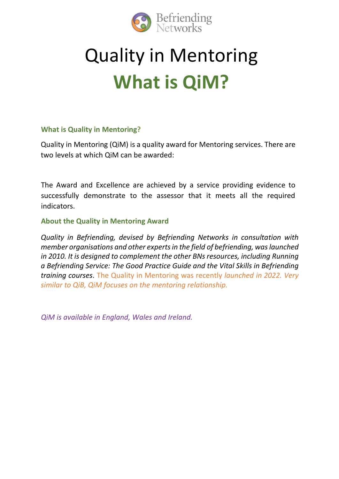

# Quality in Mentoring **What is QiM?**

## **What is Quality in Mentoring?**

Quality in Mentoring (QiM) is a quality award for Mentoring services. There are two levels at which QiM can be awarded:

The Award and Excellence are achieved by a service providing evidence to successfully demonstrate to the assessor that it meets all the required indicators.

#### **About the Quality in Mentoring Award**

*Quality in Befriending, devised by Befriending Networks in consultation with member organisations and other experts in the field of befriending, was launched in 2010. It is designed to complement the other BNs resources, including [Running](https://www.befriending.co.uk/r/25065-running-a-befriending-service-the-good-practice-guide)  a Befriending [Service: The Good Practice Guide](https://www.befriending.co.uk/r/25065-running-a-befriending-service-the-good-practice-guide) and the Vital Skills in Befriending training courses*. The Quality in Mentoring was recently *launched in 2022. Very similar to QiB, QiM focuses on the mentoring relationship.*

*QiM is available in England, Wales and Ireland.*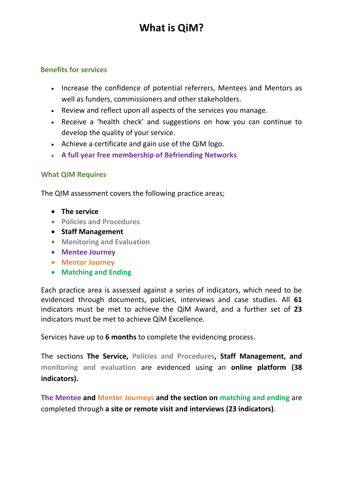# **What is QiM?**

#### **Benefits for services**

- Increase the confidence of potential referrers, Mentees and Mentors as well as funders, commissioners and other stakeholders.
- Review and reflect upon all aspects of the services you manage.
- Receive a 'health check' and suggestions on how you can continue to develop the quality of your service.
- Achieve a certificate and gain use of the QiM logo.
- **A full year free membership of Befriending Networks**

## **What QiM Requires**

The QIM assessment covers the following practice areas;

- **The service**
- **Policies and Procedures**
- **Staff Management**
- **Monitoring and Evaluation**
- **Mentee Journey**
- **Mentor Journey**
- **Matching and Ending**

Each practice area is assessed against a series of indicators, which need to be evidenced through documents, policies, interviews and case studies. All **61** indicators must be met to achieve the QiM Award, and a further set of **23** indicators must be met to achieve QiM Excellence.

Services have up to **6 months** to complete the evidencing process.

The sections **The Service, Policies and Procedures, Staff Management, and monitoring and evaluation** are evidenced using an **online platform (38 indicators).**

**The Mentee and Mentor Journeys and the section on matching and ending** are completed through **a site or remote visit and interviews (23 indicators)**.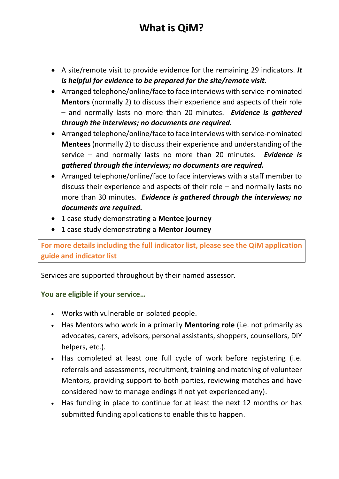# **What is QiM?**

- A site/remote visit to provide evidence for the remaining 29 indicators. *It is helpful for evidence to be prepared for the site/remote visit.*
- Arranged telephone/online/face to face interviews with service-nominated **Mentors** (normally 2) to discuss their experience and aspects of their role – and normally lasts no more than 20 minutes. *Evidence is gathered through the interviews; no documents are required.*
- Arranged telephone/online/face to face interviews with service-nominated **Mentees** (normally 2) to discuss their experience and understanding of the service – and normally lasts no more than 20 minutes. *Evidence is gathered through the interviews; no documents are required.*
- Arranged telephone/online/face to face interviews with a staff member to discuss their experience and aspects of their role – and normally lasts no more than 30 minutes. *Evidence is gathered through the interviews; no documents are required.*
- 1 case study demonstrating a **Mentee journey**
- 1 case study demonstrating a **Mentor Journey**

**For more details including the full indicator list, please see the QiM application guide and indicator list**

Services are supported throughout by their named assessor.

## **You are eligible if your service…**

- Works with vulnerable or isolated people.
- Has Mentors who work in a primarily **Mentoring role** (i.e. not primarily as advocates, carers, advisors, personal assistants, shoppers, counsellors, DIY helpers, etc.).
- Has completed at least one full cycle of work before registering (i.e. referrals and assessments, recruitment, training and matching of volunteer Mentors, providing support to both parties, reviewing matches and have considered how to manage endings if not yet experienced any).
- Has funding in place to continue for at least the next 12 months or has submitted funding applications to enable this to happen.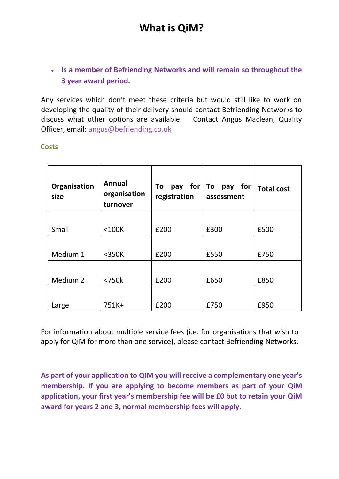• **Is a member of Befriending Networks and will remain so throughout the 3 year award period.**

Any services which don't meet these criteria but would still like to work on developing the quality of their delivery should contact Befriending Networks to discuss what other options are available. Contact Angus Maclean, Quality Officer, email: [angus@befriending.co.uk](mailto:angus@befriending.co.uk)

#### **Costs**

| Organisation<br>size | Annual<br>organisation<br>turnover | To pay for $\vert$ To<br>registration | for<br>pay<br>assessment | <b>Total cost</b> |
|----------------------|------------------------------------|---------------------------------------|--------------------------|-------------------|
|                      |                                    |                                       |                          |                   |
| Small                | $<$ 100 $K$                        | £200                                  | £300                     | £500              |
|                      |                                    |                                       |                          |                   |
| Medium 1             | $<$ 350 $K$                        | £200                                  | £550                     | £750              |
| Medium 2             | $<$ 750 $k$                        | £200                                  | £650                     | £850              |
| Large                | 751K+                              | £200                                  | £750                     | £950              |

For information about multiple service fees (i.e. for organisations that wish to apply for QiM for more than one service), please contact Befriending Networks.

**As part of your application to QIM you will receive a complementary one year's membership. If you are applying to become members as part of your QiM application, your first year's membership fee will be £0 but to retain your QiM award for years 2 and 3, normal membership fees will apply.**